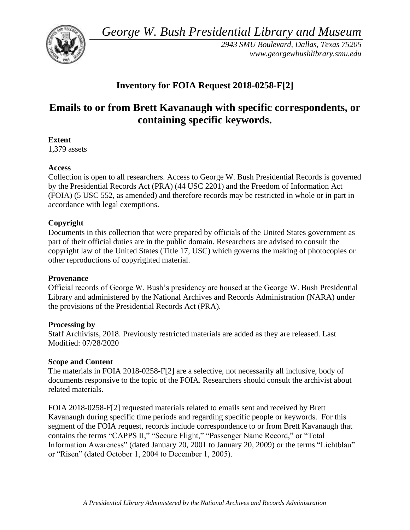*George W. Bush Presidential Library and Museum* 



*2943 SMU Boulevard, Dallas, Texas 75205 <www.georgewbushlibrary.smu.edu>*

## **Inventory for FOIA Request 2018-0258-F[2]**

# **Emails to or from Brett Kavanaugh with specific correspondents, or containing specific keywords.**

## **Extent**

1,379 assets

## **Access**

Collection is open to all researchers. Access to George W. Bush Presidential Records is governed by the Presidential Records Act (PRA) (44 USC 2201) and the Freedom of Information Act (FOIA) (5 USC 552, as amended) and therefore records may be restricted in whole or in part in accordance with legal exemptions.

## **Copyright**

Documents in this collection that were prepared by officials of the United States government as part of their official duties are in the public domain. Researchers are advised to consult the copyright law of the United States (Title 17, USC) which governs the making of photocopies or other reproductions of copyrighted material.

#### **Provenance**

Official records of George W. Bush's presidency are housed at the George W. Bush Presidential Library and administered by the National Archives and Records Administration (NARA) under the provisions of the Presidential Records Act (PRA).

#### **Processing by**

Staff Archivists, 2018. Previously restricted materials are added as they are released. Last Modified: 07/28/2020

#### **Scope and Content**

The materials in FOIA 2018-0258-F[2] are a selective, not necessarily all inclusive, body of documents responsive to the topic of the FOIA. Researchers should consult the archivist about related materials.

FOIA 2018-0258-F[2] requested materials related to emails sent and received by Brett Kavanaugh during specific time periods and regarding specific people or keywords. For this segment of the FOIA request, records include correspondence to or from Brett Kavanaugh that contains the terms "CAPPS II," "Secure Flight," "Passenger Name Record," or "Total Information Awareness" (dated January 20, 2001 to January 20, 2009) or the terms "Lichtblau" or "Risen" (dated October 1, 2004 to December 1, 2005).